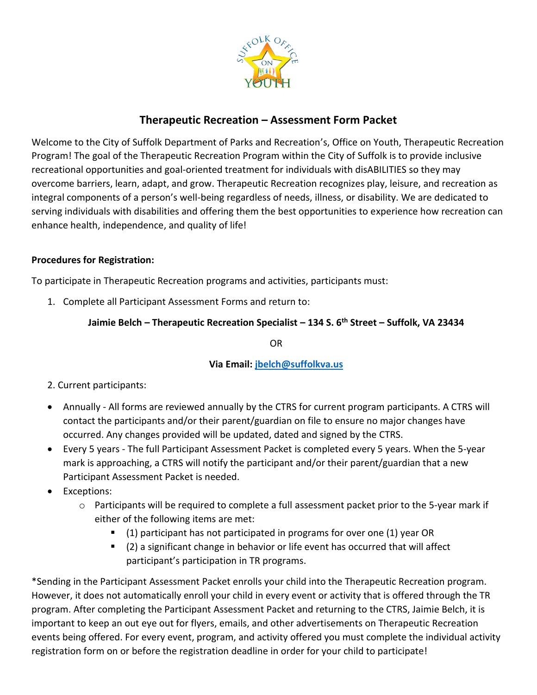

# **Therapeutic Recreation – Assessment Form Packet**

Welcome to the City of Suffolk Department of Parks and Recreation's, Office on Youth, Therapeutic Recreation Program! The goal of the Therapeutic Recreation Program within the City of Suffolk is to provide inclusive recreational opportunities and goal-oriented treatment for individuals with disABILITIES so they may overcome barriers, learn, adapt, and grow. Therapeutic Recreation recognizes play, leisure, and recreation as integral components of a person's well-being regardless of needs, illness, or disability. We are dedicated to serving individuals with disabilities and offering them the best opportunities to experience how recreation can enhance health, independence, and quality of life!

## **Procedures for Registration:**

To participate in Therapeutic Recreation programs and activities, participants must:

1. Complete all Participant Assessment Forms and return to:

## **Jaimie Belch – Therapeutic Recreation Specialist – 134 S. 6th Street – Suffolk, VA 23434**

OR

## **Via Email[: jbelch@suffolkva.us](mailto:jbelch@suffolkva.us)**

## 2. Current participants:

- Annually All forms are reviewed annually by the CTRS for current program participants. A CTRS will contact the participants and/or their parent/guardian on file to ensure no major changes have occurred. Any changes provided will be updated, dated and signed by the CTRS.
- Every 5 years The full Participant Assessment Packet is completed every 5 years. When the 5-year mark is approaching, a CTRS will notify the participant and/or their parent/guardian that a new Participant Assessment Packet is needed.
- Exceptions:
	- o Participants will be required to complete a full assessment packet prior to the 5-year mark if either of the following items are met:
		- (1) participant has not participated in programs for over one (1) year OR
		- (2) a significant change in behavior or life event has occurred that will affect participant's participation in TR programs.

\*Sending in the Participant Assessment Packet enrolls your child into the Therapeutic Recreation program. However, it does not automatically enroll your child in every event or activity that is offered through the TR program. After completing the Participant Assessment Packet and returning to the CTRS, Jaimie Belch, it is important to keep an out eye out for flyers, emails, and other advertisements on Therapeutic Recreation events being offered. For every event, program, and activity offered you must complete the individual activity registration form on or before the registration deadline in order for your child to participate!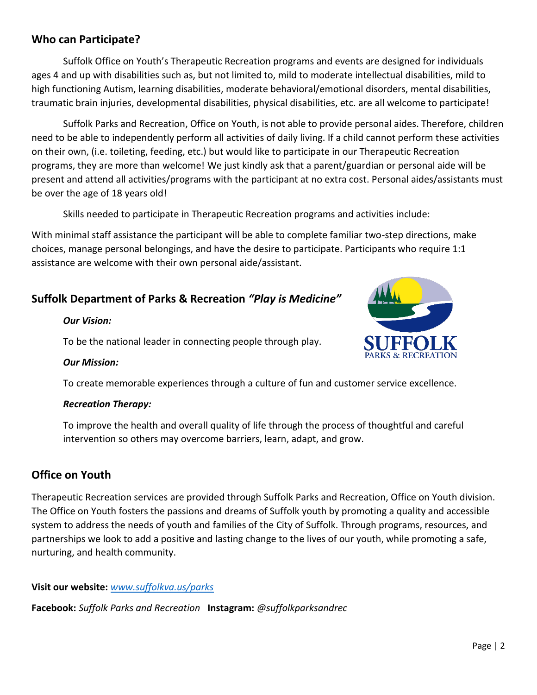# **Who can Participate?**

Suffolk Office on Youth's Therapeutic Recreation programs and events are designed for individuals ages 4 and up with disabilities such as, but not limited to, mild to moderate intellectual disabilities, mild to high functioning Autism, learning disabilities, moderate behavioral/emotional disorders, mental disabilities, traumatic brain injuries, developmental disabilities, physical disabilities, etc. are all welcome to participate!

Suffolk Parks and Recreation, Office on Youth, is not able to provide personal aides. Therefore, children need to be able to independently perform all activities of daily living. If a child cannot perform these activities on their own, (i.e. toileting, feeding, etc.) but would like to participate in our Therapeutic Recreation programs, they are more than welcome! We just kindly ask that a parent/guardian or personal aide will be present and attend all activities/programs with the participant at no extra cost. Personal aides/assistants must be over the age of 18 years old!

Skills needed to participate in Therapeutic Recreation programs and activities include:

With minimal staff assistance the participant will be able to complete familiar two-step directions, make choices, manage personal belongings, and have the desire to participate. Participants who require 1:1 assistance are welcome with their own personal aide/assistant.

# **Suffolk Department of Parks & Recreation** *"Play is Medicine"*

#### *Our Vision:*

To be the national leader in connecting people through play.



## *Our Mission:*

To create memorable experiences through a culture of fun and customer service excellence.

## *Recreation Therapy:*

To improve the health and overall quality of life through the process of thoughtful and careful intervention so others may overcome barriers, learn, adapt, and grow.

# **Office on Youth**

Therapeutic Recreation services are provided through Suffolk Parks and Recreation, Office on Youth division. The Office on Youth fosters the passions and dreams of Suffolk youth by promoting a quality and accessible system to address the needs of youth and families of the City of Suffolk. Through programs, resources, and partnerships we look to add a positive and lasting change to the lives of our youth, while promoting a safe, nurturing, and health community.

## **Visit our website:** *[www.suffolkva.us/parks](http://www.suffolkva.us/parks)*

**Facebook:** *Suffolk Parks and Recreation* **Instagram:** *@suffolkparksandrec*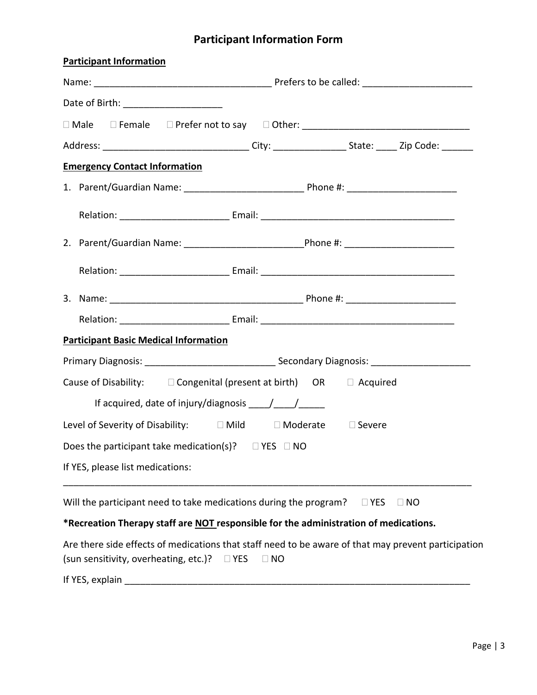# **Participant Information Form**

| <b>Participant Information</b>                                                                                                                                          |
|-------------------------------------------------------------------------------------------------------------------------------------------------------------------------|
|                                                                                                                                                                         |
| Date of Birth: ________________________                                                                                                                                 |
| □ Male □ Female □ Prefer not to say □ Other: __________________________________                                                                                         |
| Address: __________________________________City: ____________________State: ______Zip Code: _______                                                                     |
| <b>Emergency Contact Information</b>                                                                                                                                    |
|                                                                                                                                                                         |
|                                                                                                                                                                         |
|                                                                                                                                                                         |
|                                                                                                                                                                         |
|                                                                                                                                                                         |
|                                                                                                                                                                         |
| <b>Participant Basic Medical Information</b>                                                                                                                            |
|                                                                                                                                                                         |
| Cause of Disability: □ Congenital (present at birth) OR □ Acquired                                                                                                      |
|                                                                                                                                                                         |
| Level of Severity of Disability: □ Mild □ Moderate □ Severe                                                                                                             |
| Does the participant take medication(s)? $\square$ YES $\square$ NO                                                                                                     |
| If YES, please list medications:                                                                                                                                        |
| Will the participant need to take medications during the program?<br>$\Box$ YES<br>$\Box$ NO                                                                            |
| *Recreation Therapy staff are NOT responsible for the administration of medications.                                                                                    |
| Are there side effects of medications that staff need to be aware of that may prevent participation<br>(sun sensitivity, overheating, etc.)?<br>$\Box$ YES<br>$\Box$ NO |
| If YES, explain                                                                                                                                                         |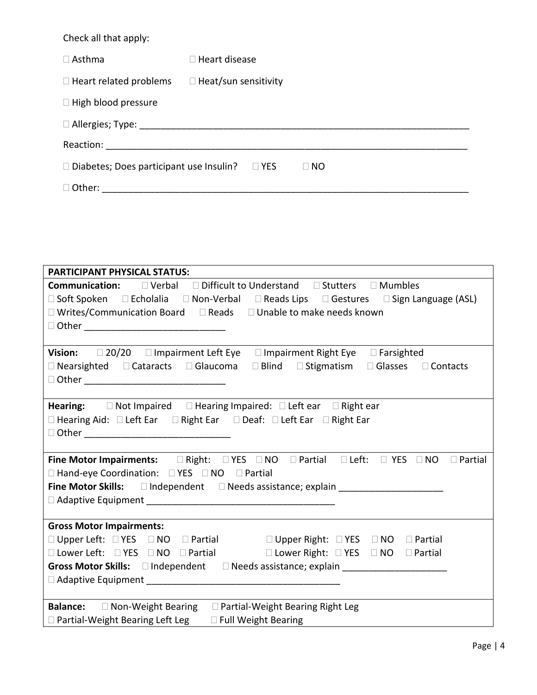Check all that apply:

| $\Box$ Asthma                                  | $\Box$ Heart disease        |
|------------------------------------------------|-----------------------------|
| $\Box$ Heart related problems                  | $\Box$ Heat/sun sensitivity |
| $\Box$ High blood pressure                     |                             |
|                                                |                             |
|                                                |                             |
| $\Box$ Diabetes; Does participant use Insulin? | $\Box$ YES<br>$\square$ NO  |
| $\Box$ Other:                                  |                             |

| <b>PARTICIPANT PHYSICAL STATUS:</b>                                                                                                                |  |  |  |  |  |
|----------------------------------------------------------------------------------------------------------------------------------------------------|--|--|--|--|--|
| <b>Communication:</b> □ Verbal □ Difficult to Understand □ Stutters □ Mumbles                                                                      |  |  |  |  |  |
| □ Soft Spoken □ Echolalia □ Non-Verbal □ Reads Lips □ Gestures □ Sign Language (ASL)                                                               |  |  |  |  |  |
| $\Box$ Writes/Communication Board $\Box$ Reads $\Box$ Unable to make needs known                                                                   |  |  |  |  |  |
| D Other __________________________________                                                                                                         |  |  |  |  |  |
|                                                                                                                                                    |  |  |  |  |  |
| Vision: 20/20 □ Impairment Left Eye □ Impairment Right Eye □ Farsighted                                                                            |  |  |  |  |  |
| □ Nearsighted □ Cataracts □ Glaucoma □ Blind □ Stigmatism □ Glasses □ Contacts                                                                     |  |  |  |  |  |
|                                                                                                                                                    |  |  |  |  |  |
|                                                                                                                                                    |  |  |  |  |  |
| <b>Hearing:</b> $\Box$ Not Impaired $\Box$ Hearing Impaired: $\Box$ Left ear $\Box$ Right ear                                                      |  |  |  |  |  |
| □ Hearing Aid: □ Left Ear □ Right Ear □ Deaf: □ Left Ear □ Right Ear                                                                               |  |  |  |  |  |
|                                                                                                                                                    |  |  |  |  |  |
|                                                                                                                                                    |  |  |  |  |  |
| Fine Motor Impairments: $\square$ Right: $\square$ YES $\square$ NO $\square$ Partial $\square$ Left: $\square$ YES $\square$ NO $\square$ Partial |  |  |  |  |  |
| $\Box$ Hand-eye Coordination: $\Box$ YES $\Box$ NO $\Box$ Partial                                                                                  |  |  |  |  |  |
| Fine Motor Skills: □ Independent □ Needs assistance; explain ___________________                                                                   |  |  |  |  |  |
|                                                                                                                                                    |  |  |  |  |  |
|                                                                                                                                                    |  |  |  |  |  |
| <b>Gross Motor Impairments:</b>                                                                                                                    |  |  |  |  |  |
| □ Upper Left: □ YES □ NO □ Partial □ □ Upper Right: □ YES □ NO □ Partial                                                                           |  |  |  |  |  |
| □ Lower Left: □ YES □ NO □ Partial □ □ Lower Right: □ YES □ NO □ Partial                                                                           |  |  |  |  |  |
|                                                                                                                                                    |  |  |  |  |  |
| $\Box$ Adaptive Equipment                                                                                                                          |  |  |  |  |  |
|                                                                                                                                                    |  |  |  |  |  |
| <b>Balance:</b> □ Non-Weight Bearing □ Partial-Weight Bearing Right Leg                                                                            |  |  |  |  |  |
| $\Box$ Partial-Weight Bearing Left Leg $\Box$ Full Weight Bearing                                                                                  |  |  |  |  |  |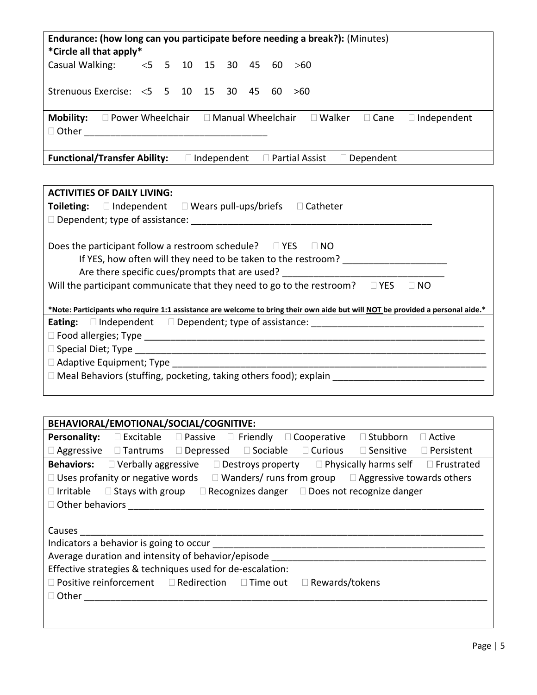| Endurance: (how long can you participate before needing a break?): (Minutes)<br>*Circle all that apply*                              |  |  |                    |  |  |  |                                           |
|--------------------------------------------------------------------------------------------------------------------------------------|--|--|--------------------|--|--|--|-------------------------------------------|
| Casual Walking: $\lt 5$ 5 10 15 30 45 60 $>60$                                                                                       |  |  |                    |  |  |  |                                           |
| Strenuous Exercise: $<$ 5 5 10 15 30 45 60                                                                                           |  |  |                    |  |  |  | >60                                       |
| <b>Mobility:</b><br>$\Box$ Power Wheelchair $\Box$ Manual Wheelchair $\Box$ Walker $\Box$ Cane<br>$\Box$ Independent<br>$\Box$ Other |  |  |                    |  |  |  |                                           |
| <b>Functional/Transfer Ability:</b>                                                                                                  |  |  | $\Box$ Independent |  |  |  | $\Box$ Partial Assist<br>$\Box$ Dependent |

| <b>ACTIVITIES OF DAILY LIVING:</b>                                                                                            |
|-------------------------------------------------------------------------------------------------------------------------------|
| <b>Toileting:</b> $\Box$ Independent $\Box$ Wears pull-ups/briefs<br>$\Box$ Catheter                                          |
|                                                                                                                               |
|                                                                                                                               |
| Does the participant follow a restroom schedule? $\Box$ YES $\Box$ NO                                                         |
| If YES, how often will they need to be taken to the restroom?                                                                 |
| Are there specific cues/prompts that are used?                                                                                |
| Will the participant communicate that they need to go to the restroom?<br>$\Box$ YES<br>$\Box$ NO                             |
|                                                                                                                               |
| *Note: Participants who require 1:1 assistance are welcome to bring their own aide but will NOT be provided a personal aide.* |
| <b>Eating:</b> $\Box$ Independent $\Box$ Dependent; type of assistance:                                                       |
|                                                                                                                               |
|                                                                                                                               |
|                                                                                                                               |
| $\Box$ Meal Behaviors (stuffing, pocketing, taking others food); explain                                                      |
|                                                                                                                               |

| BEHAVIORAL/EMOTIONAL/SOCIAL/COGNITIVE:                                                                                           |  |  |  |  |  |  |  |  |
|----------------------------------------------------------------------------------------------------------------------------------|--|--|--|--|--|--|--|--|
| $\Box$ Excitable $\Box$ Passive $\Box$ Friendly $\Box$ Cooperative<br>$\Box$ Stubborn<br>Personality:<br>$\Box$ Active           |  |  |  |  |  |  |  |  |
| $\Box$ Aggressive $\Box$ Tantrums $\Box$ Depressed $\Box$ Sociable<br>$\Box$ Curious<br>$\square$ Sensitive<br>$\Box$ Persistent |  |  |  |  |  |  |  |  |
| <b>Behaviors:</b> $\Box$ Verbally aggressive $\Box$ Destroys property $\Box$ Physically harms self $\Box$ Frustrated             |  |  |  |  |  |  |  |  |
| $\Box$ Uses profanity or negative words $\Box$ Wanders/ runs from group $\Box$ Aggressive towards others                         |  |  |  |  |  |  |  |  |
| $\Box$ Irritable $\Box$ Stays with group $\Box$ Recognizes danger $\Box$ Does not recognize danger                               |  |  |  |  |  |  |  |  |
| $\Box$ Other behaviors                                                                                                           |  |  |  |  |  |  |  |  |
|                                                                                                                                  |  |  |  |  |  |  |  |  |
| <b>Causes</b>                                                                                                                    |  |  |  |  |  |  |  |  |
| Indicators a behavior is going to occur                                                                                          |  |  |  |  |  |  |  |  |
| Average duration and intensity of behavior/episode                                                                               |  |  |  |  |  |  |  |  |
| Effective strategies & techniques used for de-escalation:                                                                        |  |  |  |  |  |  |  |  |
| $\Box$ Positive reinforcement $\Box$ Redirection<br>$\Box$ Rewards/tokens<br>$\square$ Time out                                  |  |  |  |  |  |  |  |  |
| $\Box$ Other                                                                                                                     |  |  |  |  |  |  |  |  |
|                                                                                                                                  |  |  |  |  |  |  |  |  |
|                                                                                                                                  |  |  |  |  |  |  |  |  |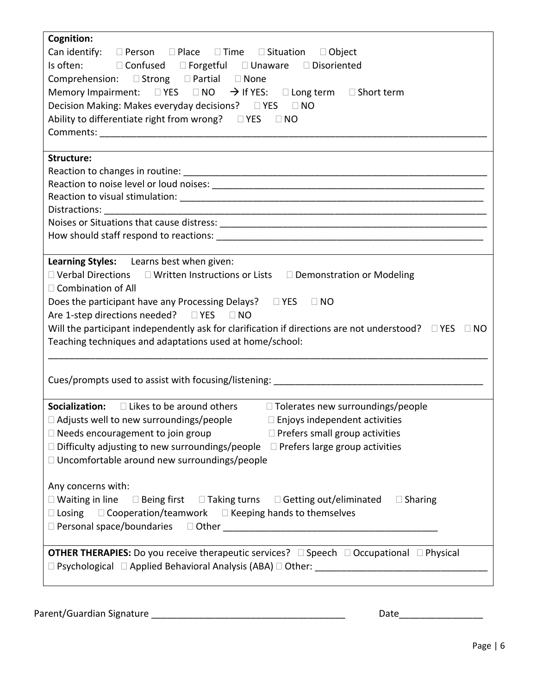| Cognition:                                                                                                            |
|-----------------------------------------------------------------------------------------------------------------------|
| Can identify: $\square$ Person $\square$ Place $\square$ Time $\square$ Situation $\square$ Object                    |
| Is often: □ Confused □ Forgetful □ Unaware □ Disoriented                                                              |
| Comprehension: □ Strong □ Partial □ None                                                                              |
| Memory Impairment: $\Box$ YES $\Box$ NO $\rightarrow$ If YES: $\Box$ Long term $\Box$ Short term                      |
| Decision Making: Makes everyday decisions? □ YES □ NO                                                                 |
| Ability to differentiate right from wrong? □ YES □ NO                                                                 |
|                                                                                                                       |
|                                                                                                                       |
| Structure:                                                                                                            |
|                                                                                                                       |
|                                                                                                                       |
|                                                                                                                       |
|                                                                                                                       |
|                                                                                                                       |
|                                                                                                                       |
|                                                                                                                       |
| Learning Styles: Learns best when given:                                                                              |
| □ Verbal Directions □ Written Instructions or Lists □ Demonstration or Modeling                                       |
| $\Box$ Combination of All                                                                                             |
| Does the participant have any Processing Delays? □ YES □ NO                                                           |
| Are 1-step directions needed? □ YES □ NO                                                                              |
| Will the participant independently ask for clarification if directions are not understood? $\square$ YES $\square$ NO |
| Teaching techniques and adaptations used at home/school:                                                              |
|                                                                                                                       |
|                                                                                                                       |
| Cues/prompts used to assist with focusing/listening:<br>                                                              |
|                                                                                                                       |
| Socialization:<br>$\Box$ Likes to be around others $\Box$ Tolerates new surroundings/people                           |
| $\Box$ Adjusts well to new surroundings/people $\Box$ Enjoys independent activities                                   |
| $\Box$ Needs encouragement to join group<br>$\Box$ Prefers small group activities                                     |
| $\Box$ Difficulty adjusting to new surroundings/people $\Box$ Prefers large group activities                          |
| □ Uncomfortable around new surroundings/people                                                                        |
|                                                                                                                       |
| Any concerns with:                                                                                                    |
| $\Box$ Waiting in line $\Box$ Being first $\Box$ Taking turns $\Box$ Getting out/eliminated $\Box$ Sharing            |
| $\Box$ Losing $\Box$ Cooperation/teamwork $\Box$ Keeping hands to themselves                                          |
|                                                                                                                       |
|                                                                                                                       |
| <b>OTHER THERAPIES:</b> Do you receive therapeutic services? □ Speech □ Occupational □ Physical                       |
|                                                                                                                       |
|                                                                                                                       |
|                                                                                                                       |

Parent/Guardian Signature \_\_\_\_\_\_\_\_\_\_\_\_\_\_\_\_\_\_\_\_\_\_\_\_\_\_\_\_\_\_\_\_\_\_\_\_\_ Date\_\_\_\_\_\_\_\_\_\_\_\_\_\_\_\_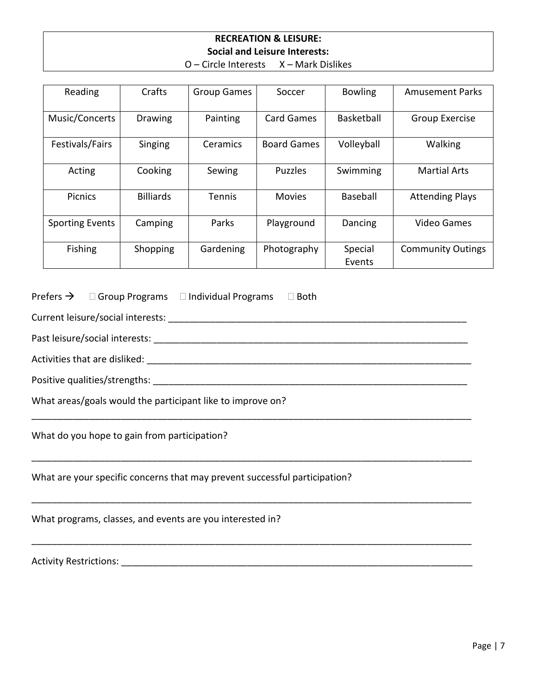# **RECREATION & LEISURE: Social and Leisure Interests:**

| $O$ – Circle Interests | X - Mark Dislikes |
|------------------------|-------------------|
|------------------------|-------------------|

| Reading                | Crafts           | <b>Group Games</b> | Soccer             | <b>Bowling</b>    | <b>Amusement Parks</b>   |
|------------------------|------------------|--------------------|--------------------|-------------------|--------------------------|
| Music/Concerts         | <b>Drawing</b>   | Painting           | <b>Card Games</b>  | Basketball        | <b>Group Exercise</b>    |
| Festivals/Fairs        | Singing          | Ceramics           | <b>Board Games</b> | Volleyball        | Walking                  |
| Acting                 | Cooking          | Sewing             | <b>Puzzles</b>     | Swimming          | <b>Martial Arts</b>      |
| <b>Picnics</b>         | <b>Billiards</b> | <b>Tennis</b>      | <b>Movies</b>      | Baseball          | <b>Attending Plays</b>   |
| <b>Sporting Events</b> | Camping          | Parks              | Playground         | Dancing           | <b>Video Games</b>       |
| <b>Fishing</b>         | Shopping         | Gardening          | Photography        | Special<br>Events | <b>Community Outings</b> |

\_\_\_\_\_\_\_\_\_\_\_\_\_\_\_\_\_\_\_\_\_\_\_\_\_\_\_\_\_\_\_\_\_\_\_\_\_\_\_\_\_\_\_\_\_\_\_\_\_\_\_\_\_\_\_\_\_\_\_\_\_\_\_\_\_\_\_\_\_\_\_\_\_\_\_\_\_\_\_\_\_\_\_\_

\_\_\_\_\_\_\_\_\_\_\_\_\_\_\_\_\_\_\_\_\_\_\_\_\_\_\_\_\_\_\_\_\_\_\_\_\_\_\_\_\_\_\_\_\_\_\_\_\_\_\_\_\_\_\_\_\_\_\_\_\_\_\_\_\_\_\_\_\_\_\_\_\_\_\_\_\_\_\_\_\_\_\_\_

\_\_\_\_\_\_\_\_\_\_\_\_\_\_\_\_\_\_\_\_\_\_\_\_\_\_\_\_\_\_\_\_\_\_\_\_\_\_\_\_\_\_\_\_\_\_\_\_\_\_\_\_\_\_\_\_\_\_\_\_\_\_\_\_\_\_\_\_\_\_\_\_\_\_\_\_\_\_\_\_\_\_\_\_

\_\_\_\_\_\_\_\_\_\_\_\_\_\_\_\_\_\_\_\_\_\_\_\_\_\_\_\_\_\_\_\_\_\_\_\_\_\_\_\_\_\_\_\_\_\_\_\_\_\_\_\_\_\_\_\_\_\_\_\_\_\_\_\_\_\_\_\_\_\_\_\_\_\_\_\_\_\_\_\_\_\_\_\_

Prefers  $\rightarrow$   $\Box$  Group Programs  $\Box$  Individual Programs  $\Box$  Both

|  | Current leisure/social interests: |  |
|--|-----------------------------------|--|
|  |                                   |  |

Past leisure/social interests: **We are all that in the set of the set of the set of the set of the set of the set of the set of the set of the set of the set of the set of the set of the set of the set of the set of the se** 

Activities that are disliked: \_\_\_\_\_\_\_\_\_\_\_\_\_\_\_\_\_\_\_\_\_\_\_\_\_\_\_\_\_\_\_\_\_\_\_\_\_\_\_\_\_\_\_\_\_\_\_\_\_\_\_\_\_\_\_\_\_\_\_\_\_\_

Positive qualities/strengths: \_\_\_\_\_\_\_\_\_\_\_\_\_\_\_\_\_\_\_\_\_\_\_\_\_\_\_\_\_\_\_\_\_\_\_\_\_\_\_\_\_\_\_\_\_\_\_\_\_\_\_\_\_\_\_\_\_\_\_\_

What areas/goals would the participant like to improve on?

What do you hope to gain from participation?

What are your specific concerns that may prevent successful participation?

What programs, classes, and events are you interested in?

Activity Restrictions: \_\_\_\_\_\_\_\_\_\_\_\_\_\_\_\_\_\_\_\_\_\_\_\_\_\_\_\_\_\_\_\_\_\_\_\_\_\_\_\_\_\_\_\_\_\_\_\_\_\_\_\_\_\_\_\_\_\_\_\_\_\_\_\_\_\_\_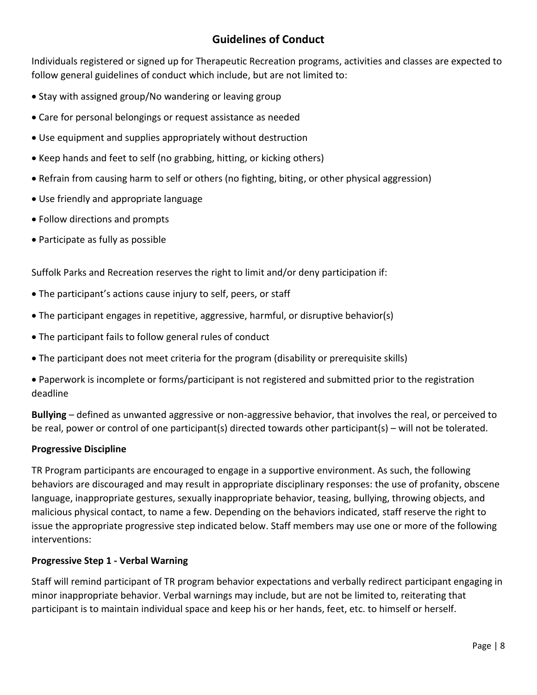# **Guidelines of Conduct**

Individuals registered or signed up for Therapeutic Recreation programs, activities and classes are expected to follow general guidelines of conduct which include, but are not limited to:

- Stay with assigned group/No wandering or leaving group
- Care for personal belongings or request assistance as needed
- Use equipment and supplies appropriately without destruction
- Keep hands and feet to self (no grabbing, hitting, or kicking others)
- Refrain from causing harm to self or others (no fighting, biting, or other physical aggression)
- Use friendly and appropriate language
- Follow directions and prompts
- Participate as fully as possible

Suffolk Parks and Recreation reserves the right to limit and/or deny participation if:

- The participant's actions cause injury to self, peers, or staff
- The participant engages in repetitive, aggressive, harmful, or disruptive behavior(s)
- The participant fails to follow general rules of conduct
- The participant does not meet criteria for the program (disability or prerequisite skills)

 Paperwork is incomplete or forms/participant is not registered and submitted prior to the registration deadline

**Bullying** – defined as unwanted aggressive or non-aggressive behavior, that involves the real, or perceived to be real, power or control of one participant(s) directed towards other participant(s) – will not be tolerated.

## **Progressive Discipline**

TR Program participants are encouraged to engage in a supportive environment. As such, the following behaviors are discouraged and may result in appropriate disciplinary responses: the use of profanity, obscene language, inappropriate gestures, sexually inappropriate behavior, teasing, bullying, throwing objects, and malicious physical contact, to name a few. Depending on the behaviors indicated, staff reserve the right to issue the appropriate progressive step indicated below. Staff members may use one or more of the following interventions:

## **Progressive Step 1 - Verbal Warning**

Staff will remind participant of TR program behavior expectations and verbally redirect participant engaging in minor inappropriate behavior. Verbal warnings may include, but are not be limited to, reiterating that participant is to maintain individual space and keep his or her hands, feet, etc. to himself or herself.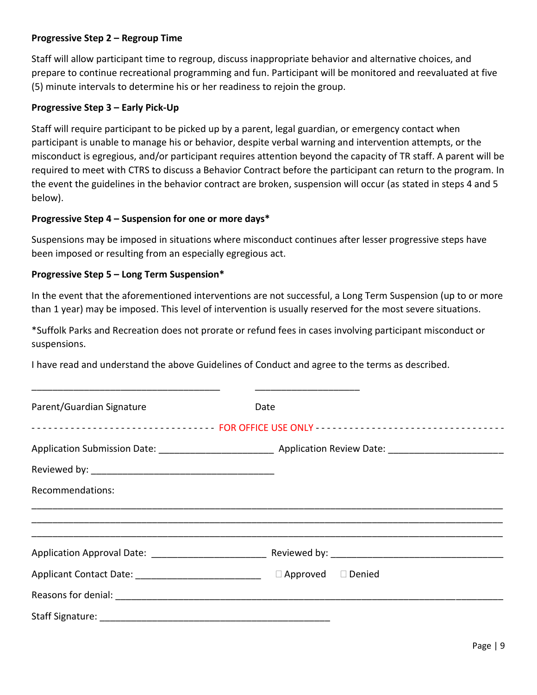## **Progressive Step 2 – Regroup Time**

Staff will allow participant time to regroup, discuss inappropriate behavior and alternative choices, and prepare to continue recreational programming and fun. Participant will be monitored and reevaluated at five (5) minute intervals to determine his or her readiness to rejoin the group.

#### **Progressive Step 3 – Early Pick-Up**

Staff will require participant to be picked up by a parent, legal guardian, or emergency contact when participant is unable to manage his or behavior, despite verbal warning and intervention attempts, or the misconduct is egregious, and/or participant requires attention beyond the capacity of TR staff. A parent will be required to meet with CTRS to discuss a Behavior Contract before the participant can return to the program. In the event the guidelines in the behavior contract are broken, suspension will occur (as stated in steps 4 and 5 below).

#### **Progressive Step 4 – Suspension for one or more days\***

Suspensions may be imposed in situations where misconduct continues after lesser progressive steps have been imposed or resulting from an especially egregious act.

#### **Progressive Step 5 – Long Term Suspension\***

In the event that the aforementioned interventions are not successful, a Long Term Suspension (up to or more than 1 year) may be imposed. This level of intervention is usually reserved for the most severe situations.

\*Suffolk Parks and Recreation does not prorate or refund fees in cases involving participant misconduct or suspensions.

I have read and understand the above Guidelines of Conduct and agree to the terms as described.

\_\_\_\_\_\_\_\_\_\_\_\_\_\_\_\_\_\_\_\_\_\_\_\_\_\_\_\_\_\_\_\_\_\_\_\_ \_\_\_\_\_\_\_\_\_\_\_\_\_\_\_\_\_\_\_\_

| Parent/Guardian Signature | Date<br>-------------------------------- FOR OFFICE USE ONLY --------------------------------- |  |
|---------------------------|------------------------------------------------------------------------------------------------|--|
| Recommendations:          |                                                                                                |  |
|                           |                                                                                                |  |
|                           | Application Approval Date: 1990 March 2014 Reviewed by: 2004 March 2014 March 2014 March 2016  |  |
|                           |                                                                                                |  |
|                           |                                                                                                |  |
|                           |                                                                                                |  |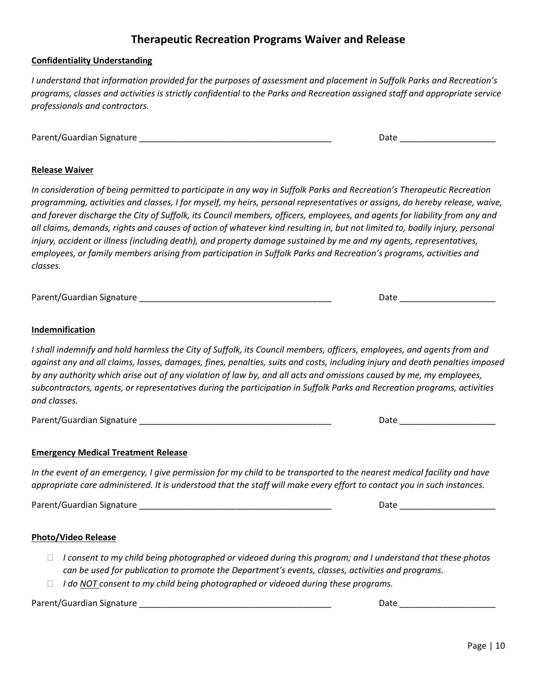## **Therapeutic Recreation Programs Waiver and Release**

#### **Confidentiality Understanding**

*I understand that information provided for the purposes of assessment and placement in Suffolk Parks and Recreation's programs, classes and activities is strictly confidential to the Parks and Recreation assigned staff and appropriate service professionals and contractors.*

Parent/Guardian Signature \_\_\_\_\_\_\_\_\_\_\_\_\_\_\_\_\_\_\_\_\_\_\_\_\_\_\_\_\_\_\_\_\_\_\_\_\_\_\_\_ Date \_\_\_\_\_\_\_\_\_\_\_\_\_\_\_\_\_\_\_\_

#### **Release Waiver**

*In consideration of being permitted to participate in any way in Suffolk Parks and Recreation's Therapeutic Recreation programming, activities and classes, I for myself, my heirs, personal representatives or assigns, do hereby release, waive, and forever discharge the City of Suffolk, its Council members, officers, employees, and agents for liability from any and all claims, demands, rights and causes of action of whatever kind resulting in, but not limited to, bodily injury, personal*  injury, accident or illness (including death), and property damage sustained by me and my agents, representatives, *employees, or family members arising from participation in Suffolk Parks and Recreation's programs, activities and classes.*

Parent/Guardian Signature \_\_\_\_\_\_\_\_\_\_\_\_\_\_\_\_\_\_\_\_\_\_\_\_\_\_\_\_\_\_\_\_\_\_\_\_\_\_\_\_ Date \_\_\_\_\_\_\_\_\_\_\_\_\_\_\_\_\_\_\_\_

#### **Indemnification**

*I shall indemnify and hold harmless the City of Suffolk, its Council members, officers, employees, and agents from and against any and all claims, losses, damages, fines, penalties, suits and costs, including injury and death penalties imposed by any authority which arise out of any violation of law by, and all acts and omissions caused by me, my employees, subcontractors, agents, or representatives during the participation in Suffolk Parks and Recreation programs, activities and classes.*

Parent/Guardian Signature \_\_\_\_\_\_\_\_\_\_\_\_\_\_\_\_\_\_\_\_\_\_\_\_\_\_\_\_\_\_\_\_\_\_\_\_\_\_\_\_ Date \_\_\_\_\_\_\_\_\_\_\_\_\_\_\_\_\_\_\_\_

#### **Emergency Medical Treatment Release**

*In the event of an emergency, I give permission for my child to be transported to the nearest medical facility and have appropriate care administered. It is understood that the staff will make every effort to contact you in such instances.*

Parent/Guardian Signature \_\_\_\_\_\_\_\_\_\_\_\_\_\_\_\_\_\_\_\_\_\_\_\_\_\_\_\_\_\_\_\_\_\_\_\_\_\_\_\_ Date \_\_\_\_\_\_\_\_\_\_\_\_\_\_\_\_\_\_\_\_

#### **Photo/Video Release**

- *I consent to my child being photographed or videoed during this program; and I understand that these photos can be used for publication to promote the Department's events, classes, activities and programs.*
- *I do NOT consent to my child being photographed or videoed during these programs.*

Parent/Guardian Signature \_\_\_\_\_\_\_\_\_\_\_\_\_\_\_\_\_\_\_\_\_\_\_\_\_\_\_\_\_\_\_\_\_\_\_\_\_\_\_\_ Date \_\_\_\_\_\_\_\_\_\_\_\_\_\_\_\_\_\_\_\_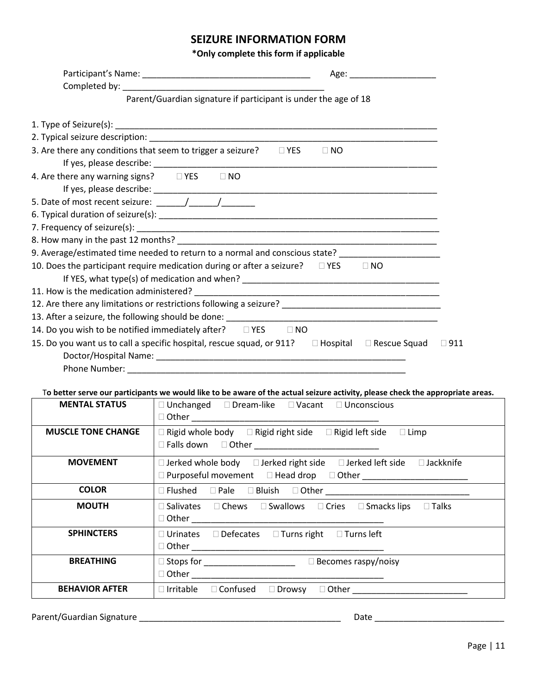# **SEIZURE INFORMATION FORM**

**\*Only complete this form if applicable**

|                                                                                                                                | Parent/Guardian signature if participant is under the age of 18 |  |           |               |
|--------------------------------------------------------------------------------------------------------------------------------|-----------------------------------------------------------------|--|-----------|---------------|
|                                                                                                                                |                                                                 |  |           |               |
|                                                                                                                                |                                                                 |  |           |               |
|                                                                                                                                |                                                                 |  |           |               |
| 3. Are there any conditions that seem to trigger a seizure? $\square$ YES                                                      |                                                                 |  | $\Box$ NO |               |
|                                                                                                                                |                                                                 |  |           |               |
|                                                                                                                                |                                                                 |  |           |               |
|                                                                                                                                |                                                                 |  |           |               |
|                                                                                                                                |                                                                 |  |           |               |
|                                                                                                                                |                                                                 |  |           |               |
|                                                                                                                                |                                                                 |  |           |               |
|                                                                                                                                |                                                                 |  |           |               |
| 9. Average/estimated time needed to return to a normal and conscious state? _______________________                            |                                                                 |  |           |               |
| 10. Does the participant require medication during or after a seizure? $\square$ YES $\square$ NO                              |                                                                 |  |           |               |
|                                                                                                                                |                                                                 |  |           |               |
|                                                                                                                                |                                                                 |  |           |               |
| 12. Are there any limitations or restrictions following a seizure? _________________________________                           |                                                                 |  |           |               |
|                                                                                                                                |                                                                 |  |           |               |
| 14. Do you wish to be notified immediately after? □ YES □ NO                                                                   |                                                                 |  |           |               |
| 15. Do you want us to call a specific hospital, rescue squad, or 911? □ Hospital □ Rescue Squad                                |                                                                 |  |           | $\square$ 911 |
|                                                                                                                                |                                                                 |  |           |               |
|                                                                                                                                |                                                                 |  |           |               |
|                                                                                                                                |                                                                 |  |           |               |
| To better serve our participants we would like to be aware of the actual seizure activity, please check the appropriate areas. |                                                                 |  |           |               |
| <b>MENTAL STATUS</b>                                                                                                           | □ Unchanged □ Dream-like □ Vacant □ Unconscious                 |  |           |               |

| <b>MENTAL STATUS</b>      | $\Box$ Unchanged $\Box$ Dream-like $\Box$ Vacant $\Box$ Unconscious                                                                                                                                                                                                                                                                                                                                                                              |  |  |  |  |  |  |
|---------------------------|--------------------------------------------------------------------------------------------------------------------------------------------------------------------------------------------------------------------------------------------------------------------------------------------------------------------------------------------------------------------------------------------------------------------------------------------------|--|--|--|--|--|--|
|                           |                                                                                                                                                                                                                                                                                                                                                                                                                                                  |  |  |  |  |  |  |
| <b>MUSCLE TONE CHANGE</b> | $\Box$ Rigid whole body $\Box$ Rigid right side $\Box$ Rigid left side $\Box$ Limp                                                                                                                                                                                                                                                                                                                                                               |  |  |  |  |  |  |
|                           |                                                                                                                                                                                                                                                                                                                                                                                                                                                  |  |  |  |  |  |  |
| <b>MOVEMENT</b>           | $\Box$ Jerked whole body $\Box$ Jerked right side $\Box$ Jerked left side $\Box$ Jackknife                                                                                                                                                                                                                                                                                                                                                       |  |  |  |  |  |  |
|                           |                                                                                                                                                                                                                                                                                                                                                                                                                                                  |  |  |  |  |  |  |
| <b>COLOR</b>              | $\begin{tabular}{lllll} \quad \textbf{Q} \textbf{ Flushed} & \textbf{Q} \textbf{Pale} & \textbf{Q} \textbf{Bluish} & \textbf{Q} \textbf{Other} \end{tabular} \begin{tabular}{lllllllllll} \quad \textbf{L} \textbf{Q} \textbf{H} & \textbf{Q} \textbf{H} & \textbf{Q} \textbf{H} & \textbf{Q} \textbf{H} & \textbf{Q} \textbf{H} & \textbf{Q} \textbf{H} & \textbf{Q} \textbf{H} & \textbf{Q} \textbf{H} & \textbf{Q} \textbf{H} & \textbf{Q} \$ |  |  |  |  |  |  |
| <b>MOUTH</b>              | □ Salivates □ Chews □ Swallows □ Cries □ Smacks lips □ Talks                                                                                                                                                                                                                                                                                                                                                                                     |  |  |  |  |  |  |
|                           |                                                                                                                                                                                                                                                                                                                                                                                                                                                  |  |  |  |  |  |  |
| <b>SPHINCTERS</b>         | $\Box$ Urinates $\Box$ Defecates $\Box$ Turns right $\Box$ Turns left                                                                                                                                                                                                                                                                                                                                                                            |  |  |  |  |  |  |
|                           |                                                                                                                                                                                                                                                                                                                                                                                                                                                  |  |  |  |  |  |  |
| <b>BREATHING</b>          | □ Stops for __________________________  □ Becomes raspy/noisy                                                                                                                                                                                                                                                                                                                                                                                    |  |  |  |  |  |  |
|                           |                                                                                                                                                                                                                                                                                                                                                                                                                                                  |  |  |  |  |  |  |
| <b>BEHAVIOR AFTER</b>     | $\Box$ Irritable $\Box$ Confused $\Box$ Drowsy<br>□ Other __________________                                                                                                                                                                                                                                                                                                                                                                     |  |  |  |  |  |  |

Parent/Guardian Signature \_\_\_\_\_\_\_\_\_\_\_\_\_\_\_\_\_\_\_\_\_\_\_\_\_\_\_\_\_\_\_\_\_\_\_\_\_\_\_\_\_\_ Date \_\_\_\_\_\_\_\_\_\_\_\_\_\_\_\_\_\_\_\_\_\_\_\_\_\_\_

 $\overline{\phantom{0}}$